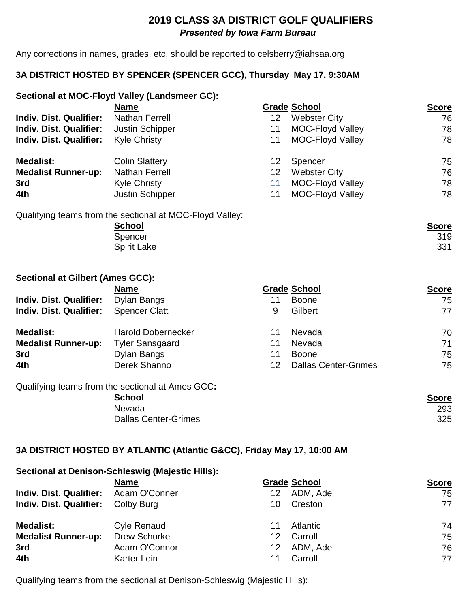## **2019 CLASS 3A DISTRICT GOLF QUALIFIERS**  *Presented by Iowa Farm Bureau*

Any corrections in names, grades, etc. should be reported to celsberry@iahsaa.org

## **3A DISTRICT HOSTED BY SPENCER (SPENCER GCC), Thursday May 17, 9:30AM**

### **Sectional at MOC-Floyd Valley (Landsmeer GC):**

|                                | <b>Name</b>            |                 | <b>Grade School</b>     | <b>Score</b> |
|--------------------------------|------------------------|-----------------|-------------------------|--------------|
| <b>Indiv. Dist. Qualifier:</b> | Nathan Ferrell         | 12 <sub>2</sub> | <b>Webster City</b>     | 76           |
| <b>Indiv. Dist. Qualifier:</b> | <b>Justin Schipper</b> | 11              | <b>MOC-Floyd Valley</b> | 78           |
| <b>Indiv. Dist. Qualifier:</b> | <b>Kyle Christy</b>    | 11              | <b>MOC-Floyd Valley</b> | 78           |
| <b>Medalist:</b>               | <b>Colin Slattery</b>  | 12.             | Spencer                 | 75           |
| <b>Medalist Runner-up:</b>     | <b>Nathan Ferrell</b>  | 12              | <b>Webster City</b>     | 76           |
| 3rd                            | <b>Kyle Christy</b>    | 11              | <b>MOC-Floyd Valley</b> | 78           |
| 4th                            | Justin Schipper        | 11              | <b>MOC-Floyd Valley</b> | 78           |

Qualifying teams from the sectional at MOC-Floyd Valley:

| <b>School</b>      | <b>Score</b> |
|--------------------|--------------|
| Spencer            | 319          |
| <b>Spirit Lake</b> | 331          |

### **Sectional at Gilbert (Ames GCC):**

|                                | <b>Name</b>                                      |    | <b>Grade School</b>         | <b>Score</b> |
|--------------------------------|--------------------------------------------------|----|-----------------------------|--------------|
| <b>Indiv. Dist. Qualifier:</b> | Dylan Bangs                                      | 11 | <b>Boone</b>                | 75           |
| <b>Indiv. Dist. Qualifier:</b> | <b>Spencer Clatt</b>                             | 9  | Gilbert                     | 77           |
| <b>Medalist:</b>               | <b>Harold Dobernecker</b>                        | 11 | Nevada                      | 70           |
| <b>Medalist Runner-up:</b>     | <b>Tyler Sansgaard</b>                           | 11 | Nevada                      | 71           |
| 3rd                            | Dylan Bangs                                      | 11 | <b>Boone</b>                | 75           |
| 4th                            | Derek Shanno                                     | 12 | <b>Dallas Center-Grimes</b> | 75           |
|                                | Qualifying teams from the sectional at Ames GCC: |    |                             |              |

#### **School Score** Nevada 293 Dallas Center-Grimes 325

**Sectional at Denison-Schleswig (Majestic Hills):** 

## **3A DISTRICT HOSTED BY ATLANTIC (Atlantic G&CC), Friday May 17, 10:00 AM**

|                                              | <u>secondral at Pollicell Schlieding (majoene i ilite):</u> |    |                     |              |
|----------------------------------------------|-------------------------------------------------------------|----|---------------------|--------------|
|                                              | <b>Name</b>                                                 |    | <b>Grade School</b> | <b>Score</b> |
| <b>Indiv. Dist. Qualifier:</b> Adam O'Conner |                                                             | 12 | ADM, Adel           | 75           |
| <b>Indiv. Dist. Qualifier:</b>               | Colby Burg                                                  | 10 | Creston             | 77           |
| <b>Medalist:</b>                             | <b>Cyle Renaud</b>                                          | 11 | Atlantic            | 74           |
| <b>Medalist Runner-up:</b>                   | Drew Schurke                                                | 12 | Carroll             | 75           |
| 3rd                                          | Adam O'Connor                                               | 12 | ADM, Adel           | 76           |
| 4th                                          | Karter Lein                                                 | 11 | Carroll             | 77           |
|                                              |                                                             |    |                     |              |

Qualifying teams from the sectional at Denison-Schleswig (Majestic Hills):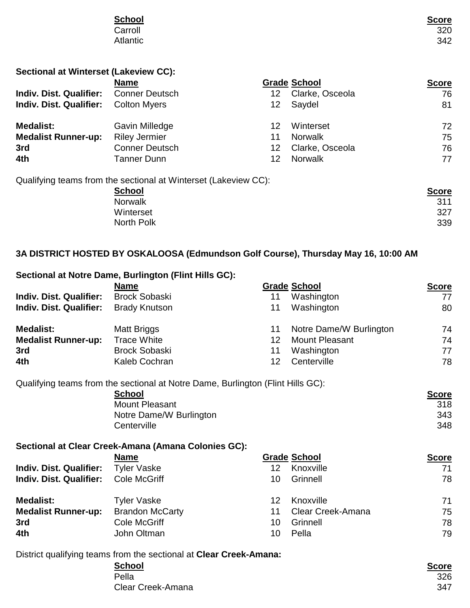| <b>School</b> |            |
|---------------|------------|
| Carroll       | $Score320$ |
| Atlantic      | 342        |
|               |            |
|               |            |

| <b>Sectional at Winterset (Lakeview CC):</b> |  |
|----------------------------------------------|--|
|----------------------------------------------|--|

|                                | <b>Name</b>                                                     |    | <b>Grade School</b> | <b>Score</b> |
|--------------------------------|-----------------------------------------------------------------|----|---------------------|--------------|
| <b>Indiv. Dist. Qualifier:</b> | <b>Conner Deutsch</b>                                           | 12 | Clarke, Osceola     | 76           |
| <b>Indiv. Dist. Qualifier:</b> | <b>Colton Myers</b>                                             | 12 | Saydel              | 81           |
| <b>Medalist:</b>               | Gavin Milledge                                                  | 12 | Winterset           | 72           |
| <b>Medalist Runner-up:</b>     | <b>Riley Jermier</b>                                            | 11 | <b>Norwalk</b>      | 75           |
| 3rd                            | <b>Conner Deutsch</b>                                           | 12 | Clarke, Osceola     | 76           |
| 4th                            | <b>Tanner Dunn</b>                                              | 12 | <b>Norwalk</b>      | 77           |
|                                | Qualifying teams from the sectional at Winterset (Lakeview CC): |    |                     |              |
|                                | <b>School</b>                                                   |    |                     | <b>Score</b> |
|                                | <b>Norwalk</b>                                                  |    |                     | 311          |
|                                | Winterset                                                       |    |                     | 327          |
|                                | <b>North Polk</b>                                               |    |                     | 339          |

# **3A DISTRICT HOSTED BY OSKALOOSA (Edmundson Golf Course), Thursday May 16, 10:00 AM**

|                                | Sectional at Notre Dame, Burlington (Flint Hills GC):                           |                 |                         |              |
|--------------------------------|---------------------------------------------------------------------------------|-----------------|-------------------------|--------------|
|                                | <b>Name</b>                                                                     |                 | <b>Grade School</b>     | <b>Score</b> |
| <b>Indiv. Dist. Qualifier:</b> | <b>Brock Sobaski</b>                                                            | 11              | Washington              | 77           |
| <b>Indiv. Dist. Qualifier:</b> | <b>Brady Knutson</b>                                                            | 11              | Washington              | 80           |
| <b>Medalist:</b>               | <b>Matt Briggs</b>                                                              | 11              | Notre Dame/W Burlington | 74           |
| <b>Medalist Runner-up:</b>     | <b>Trace White</b>                                                              | 12 <sup>2</sup> | <b>Mount Pleasant</b>   | 74           |
| 3rd                            | <b>Brock Sobaski</b>                                                            | 11              | Washington              | 77           |
| 4th                            | Kaleb Cochran                                                                   | 12              | Centerville             | 78           |
|                                | Qualifying teams from the sectional at Notre Dame, Burlington (Flint Hills GC): |                 |                         |              |
|                                | <b>School</b>                                                                   |                 |                         | <b>Score</b> |
|                                | <b>Mount Pleasant</b>                                                           |                 |                         | 318          |
|                                | Notre Dame/W Burlington                                                         |                 |                         | 343          |
|                                | Centerville                                                                     |                 |                         | 348          |
|                                | Sectional at Clear Creek-Amana (Amana Colonies GC):                             |                 |                         |              |
|                                | <b>Name</b>                                                                     |                 | <b>Grade School</b>     | <b>Score</b> |
| <b>Indiv. Dist. Qualifier:</b> | <b>Tyler Vaske</b>                                                              | 12 <sup>2</sup> | Knoxville               | 71           |
| <b>Indiv. Dist. Qualifier:</b> | <b>Cole McGriff</b>                                                             | 10              | Grinnell                | 78           |
| <b>Medalist:</b>               | <b>Tyler Vaske</b>                                                              | 12 <sup>2</sup> | Knoxville               | 71           |
| <b>Medalist Runner-up:</b>     | <b>Brandon McCarty</b>                                                          | 11              | Clear Creek-Amana       | 75           |
| 3rd                            | <b>Cole McGriff</b>                                                             | 10              | Grinnell                | 78           |
| 4th                            | John Oltman                                                                     | 10              | Pella                   | 79           |
|                                | District qualifying teams from the sectional at Clear Creek-Amana:              |                 |                         |              |
|                                | <b>School</b>                                                                   |                 |                         | <b>Score</b> |

Pella 326 Clear Creek-Amana 347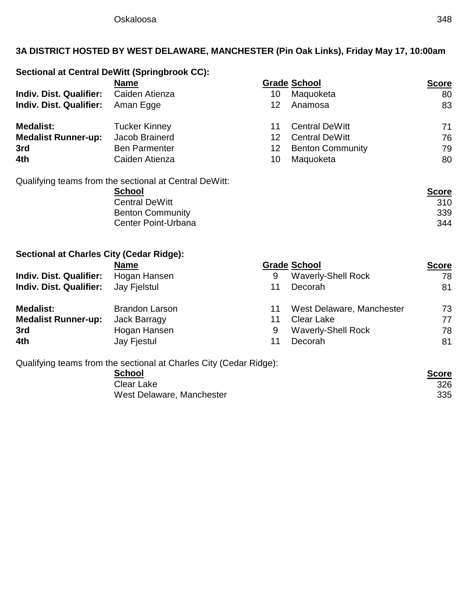# **3A DISTRICT HOSTED BY WEST DELAWARE, MANCHESTER (Pin Oak Links), Friday May 17, 10:00am**

# **Sectional at Central DeWitt (Springbrook CC):**

|                                | <b>Name</b>                                            |    | <b>Grade School</b>     | <b>Score</b> |
|--------------------------------|--------------------------------------------------------|----|-------------------------|--------------|
| <b>Indiv. Dist. Qualifier:</b> | Caiden Atienza                                         | 10 | Maquoketa               | 80           |
| <b>Indiv. Dist. Qualifier:</b> | Aman Egge                                              | 12 | Anamosa                 | 83           |
| <b>Medalist:</b>               | <b>Tucker Kinney</b>                                   | 11 | <b>Central DeWitt</b>   | 71           |
| <b>Medalist Runner-up:</b>     | Jacob Brainerd                                         | 12 | <b>Central DeWitt</b>   | 76           |
| 3rd                            | <b>Ben Parmenter</b>                                   | 12 | <b>Benton Community</b> | 79           |
| 4th                            | Caiden Atienza                                         | 10 | Maquoketa               | 80           |
|                                | Qualifying teams from the sectional at Central DeWitt: |    |                         |              |

| <b>School</b>           | <b>Score</b> |
|-------------------------|--------------|
| <b>Central DeWitt</b>   | 310          |
| <b>Benton Community</b> | 339          |
| Center Point-Urbana     | 344          |

## **Sectional at Charles City (Cedar Ridge):**

|                                | <b>Name</b>           |    | <b>Grade School</b>       | <b>Score</b> |
|--------------------------------|-----------------------|----|---------------------------|--------------|
| <b>Indiv. Dist. Qualifier:</b> | Hogan Hansen          | 9  | <b>Waverly-Shell Rock</b> | 78           |
| <b>Indiv. Dist. Qualifier:</b> | Jay Fielstul          | 11 | Decorah                   | 81           |
| <b>Medalist:</b>               | <b>Brandon Larson</b> | 11 | West Delaware, Manchester | 73           |
| <b>Medalist Runner-up:</b>     | Jack Barragy          | 11 | <b>Clear Lake</b>         | 77           |
| 3rd                            | Hogan Hansen          | 9  | <b>Waverly-Shell Rock</b> | 78           |
| 4th                            | Jay Fjestul           | 11 | Decorah                   | 81           |

Qualifying teams from the sectional at Charles City (Cedar Ridge):

**School Score** Clear Lake 326<br>West Delaware, Manchester 335 West Delaware, Manchester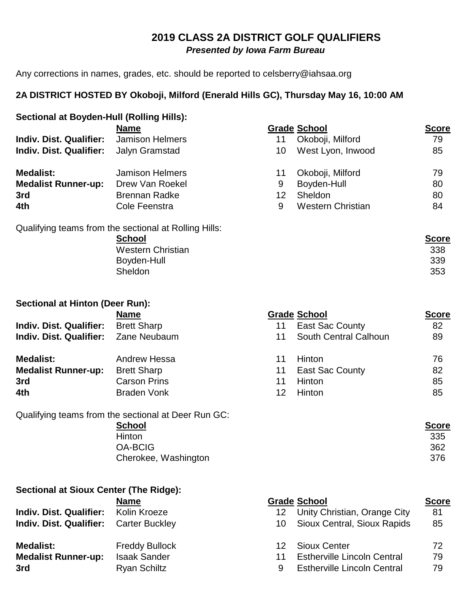# **2019 CLASS 2A DISTRICT GOLF QUALIFIERS**  *Presented by Iowa Farm Bureau*

Any corrections in names, grades, etc. should be reported to celsberry@iahsaa.org

## **2A DISTRICT HOSTED BY Okoboji, Milford (Enerald Hills GC), Thursday May 16, 10:00 AM**

| Sectional at Boyden-Hull (Rolling Hills): |                                                       |                     |                          |              |  |
|-------------------------------------------|-------------------------------------------------------|---------------------|--------------------------|--------------|--|
|                                           | <b>Name</b>                                           | <b>Grade School</b> |                          | <b>Score</b> |  |
| <b>Indiv. Dist. Qualifier:</b>            | Jamison Helmers                                       | 11                  | Okoboji, Milford         | 79           |  |
| <b>Indiv. Dist. Qualifier:</b>            | Jalyn Gramstad                                        | 10                  | West Lyon, Inwood        | 85           |  |
| <b>Medalist:</b>                          | <b>Jamison Helmers</b>                                | 11                  | Okoboji, Milford         | 79           |  |
| <b>Medalist Runner-up:</b>                | Drew Van Roekel                                       | 9                   | Boyden-Hull              | 80           |  |
| 3rd                                       | <b>Brennan Radke</b>                                  | 12                  | <b>Sheldon</b>           | 80           |  |
| 4th                                       | Cole Feenstra                                         | 9                   | <b>Western Christian</b> | 84           |  |
|                                           | Qualifying teams from the sectional at Rolling Hills: |                     |                          |              |  |

| <u>Score</u> |
|--------------|
| 338          |
| 339          |
| 353          |
|              |

| <b>Sectional at Hinton (Deer Run):</b> |                     |    |                        |              |
|----------------------------------------|---------------------|----|------------------------|--------------|
|                                        | <b>Name</b>         |    | <b>Grade School</b>    | <b>Score</b> |
| <b>Indiv. Dist. Qualifier:</b>         | <b>Brett Sharp</b>  | 11 | <b>East Sac County</b> | 82           |
| Indiv. Dist. Qualifier: Zane Neubaum   |                     | 11 | South Central Calhoun  | 89           |
| <b>Medalist:</b>                       | Andrew Hessa        |    | <b>Hinton</b>          | 76           |
| <b>Medalist Runner-up:</b>             | <b>Brett Sharp</b>  | 11 | <b>East Sac County</b> | 82           |
| 3rd                                    | <b>Carson Prins</b> | 11 | <b>Hinton</b>          | 85           |
| 4th                                    | <b>Braden Vonk</b>  | 12 | <b>Hinton</b>          | 85           |

Qualifying teams from the sectional at Deer Run GC:<br>
School **School Score** Hinton 335 OA-BCIG 362 Cherokee, Washington 376

| Sectional at Sioux Center (The Ridge): |                       |      |                                    |              |
|----------------------------------------|-----------------------|------|------------------------------------|--------------|
|                                        | <b>Name</b>           |      | <b>Grade School</b>                | <b>Score</b> |
| <b>Indiv. Dist. Qualifier:</b>         | Kolin Kroeze          | 12.  | Unity Christian, Orange City       | 81           |
| <b>Indiv. Dist. Qualifier:</b>         | Carter Buckley        | 10 - | Sioux Central, Sioux Rapids        | 85           |
| <b>Medalist:</b>                       | <b>Freddy Bullock</b> | 12.  | <b>Sioux Center</b>                | 72           |
| <b>Medalist Runner-up:</b>             | <b>Isaak Sander</b>   | 11   | <b>Estherville Lincoln Central</b> | 79           |
| 3rd                                    | <b>Ryan Schiltz</b>   | 9    | <b>Estherville Lincoln Central</b> | 79           |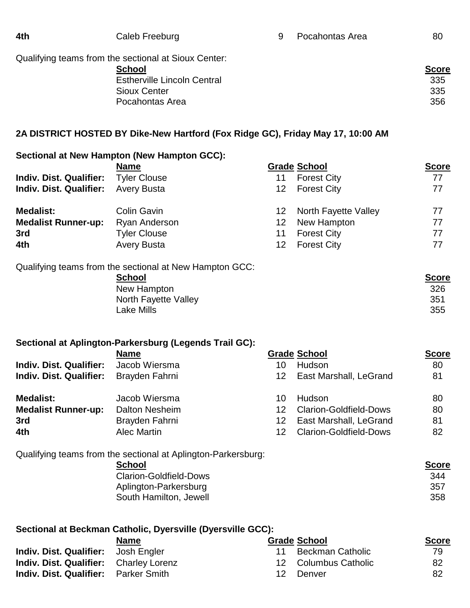| 4th | Caleb Freeburg                                       | 9 | Pocahontas Area | 80           |
|-----|------------------------------------------------------|---|-----------------|--------------|
|     | Qualifying teams from the sectional at Sioux Center: |   |                 |              |
|     | <b>School</b>                                        |   |                 | <b>Score</b> |
|     | <b>Estherville Lincoln Central</b>                   |   |                 | 335          |
|     | Sioux Center                                         |   |                 | 335          |
|     | Pocahontas Area                                      |   |                 | 356          |
|     |                                                      |   |                 |              |

## **2A DISTRICT HOSTED BY Dike-New Hartford (Fox Ridge GC), Friday May 17, 10:00 AM**

### **Sectional at New Hampton (New Hampton GCC):**

|                                | <b>Name</b>         |                 | <b>Grade School</b>  | <b>Score</b> |
|--------------------------------|---------------------|-----------------|----------------------|--------------|
| <b>Indiv. Dist. Qualifier:</b> | <b>Tyler Clouse</b> | 11              | <b>Forest City</b>   | 77           |
| <b>Indiv. Dist. Qualifier:</b> | <b>Avery Busta</b>  | 12.             | <b>Forest City</b>   | 77           |
| <b>Medalist:</b>               | Colin Gavin         | 12.             | North Fayette Valley | 77           |
| <b>Medalist Runner-up:</b>     | Ryan Anderson       | 12 <sup>2</sup> | New Hampton          | 77           |
| 3rd                            | <b>Tyler Clouse</b> | 11              | <b>Forest City</b>   | 77           |
| 4th                            | <b>Avery Busta</b>  | 12              | <b>Forest City</b>   | 77           |
|                                |                     |                 |                      |              |

Qualifying teams from the sectional at New Hampton GCC:<br>**School** 

**School Score**

New Hampton 326<br>
North Favette Valley 351 North Fayette Valley<br>Lake Mills Lake Mills 355

## **Sectional at Aplington-Parkersburg (Legends Trail GC):**

|                                | <b>Name</b>    |     | <b>Grade School</b>           | <b>Score</b> |
|--------------------------------|----------------|-----|-------------------------------|--------------|
| <b>Indiv. Dist. Qualifier:</b> | Jacob Wiersma  | 10  | <b>Hudson</b>                 | 80           |
| <b>Indiv. Dist. Qualifier:</b> | Brayden Fahrni | 12. | East Marshall, LeGrand        | 81           |
| <b>Medalist:</b>               | Jacob Wiersma  | 10  | <b>Hudson</b>                 | 80           |
| <b>Medalist Runner-up:</b>     | Dalton Nesheim | 12  | <b>Clarion-Goldfield-Dows</b> | 80           |
| 3rd                            | Brayden Fahrni | 12  | East Marshall, LeGrand        | 81           |
| 4th                            | Alec Martin    | 12  | <b>Clarion-Goldfield-Dows</b> | 82           |

Qualifying teams from the sectional at Aplington-Parkersburg:

| <b>School</b>                 | <b>Score</b> |
|-------------------------------|--------------|
| <b>Clarion-Goldfield-Dows</b> | 344          |
| Aplington-Parkersburg         | 357          |
| South Hamilton, Jewell        | 358          |

## **Sectional at Beckman Catholic, Dyersville (Dyersville GCC):**

|                                               | <b>Name</b> |     | <b>Grade School</b>  | <b>Score</b> |
|-----------------------------------------------|-------------|-----|----------------------|--------------|
| <b>Indiv. Dist. Qualifier:</b> Josh Engler    |             |     | 11 Beckman Catholic  | 79.          |
| <b>Indiv. Dist. Qualifier:</b> Charley Lorenz |             |     | 12 Columbus Catholic | 82           |
| <b>Indiv. Dist. Qualifier:</b> Parker Smith   |             | 12. | Denver               | 82           |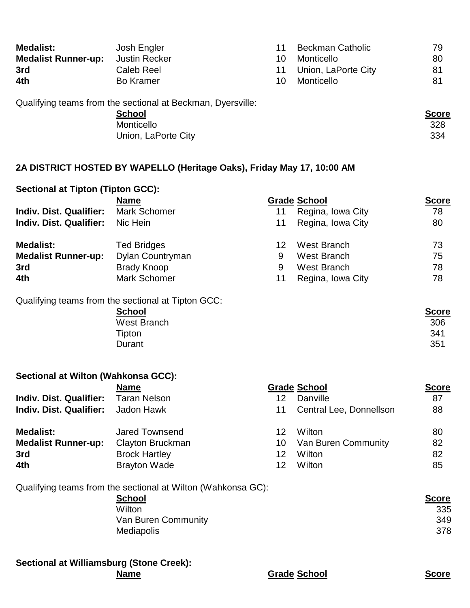| <b>Medalist:</b>           | Josh Engler                                                 | 11  | <b>Beckman Catholic</b> | 79 |
|----------------------------|-------------------------------------------------------------|-----|-------------------------|----|
| <b>Medalist Runner-up:</b> | <b>Justin Recker</b>                                        | 10  | Monticello              | 80 |
| 3rd                        | Caleb Reel                                                  | 11  | Union, LaPorte City     | 81 |
| 4th                        | <b>Bo Kramer</b>                                            | 10. | Monticello              | 81 |
|                            | Qualifying teams from the sectional at Beckman, Dyersville: |     |                         |    |

| <u>,</u> | <b>School</b>       | <b>Score</b> |
|----------|---------------------|--------------|
|          | Monticello          | 328          |
|          | Union, LaPorte City | 334          |

## **2A DISTRICT HOSTED BY WAPELLO (Heritage Oaks), Friday May 17, 10:00 AM**

| <b>Sectional at Tipton (Tipton GCC):</b> |                                                              |                 |                         |              |
|------------------------------------------|--------------------------------------------------------------|-----------------|-------------------------|--------------|
|                                          | <b>Name</b>                                                  |                 | <b>Grade School</b>     | <b>Score</b> |
| <b>Indiv. Dist. Qualifier:</b>           | <b>Mark Schomer</b>                                          | 11              | Regina, Iowa City       | 78           |
| <b>Indiv. Dist. Qualifier:</b>           | Nic Hein                                                     | 11              | Regina, Iowa City       | 80           |
| <b>Medalist:</b>                         | <b>Ted Bridges</b>                                           | 12 <sup>2</sup> | West Branch             | 73           |
| <b>Medalist Runner-up:</b>               | Dylan Countryman                                             | 9               | West Branch             | 75           |
| 3rd                                      | <b>Brady Knoop</b>                                           | 9               | <b>West Branch</b>      | 78           |
| 4th                                      | <b>Mark Schomer</b>                                          | 11              | Regina, Iowa City       | 78           |
|                                          | Qualifying teams from the sectional at Tipton GCC:           |                 |                         |              |
|                                          | <b>School</b>                                                |                 |                         | <b>Score</b> |
|                                          | <b>West Branch</b>                                           |                 |                         | 306          |
|                                          | Tipton                                                       |                 |                         | 341          |
|                                          | Durant                                                       |                 |                         | 351          |
| Sectional at Wilton (Wahkonsa GCC):      |                                                              |                 |                         |              |
|                                          | <b>Name</b>                                                  |                 | <b>Grade School</b>     | <b>Score</b> |
| <b>Indiv. Dist. Qualifier:</b>           | <b>Taran Nelson</b>                                          | 12 <sup>2</sup> | Danville                | 87           |
| Indiv. Dist. Qualifier:                  | Jadon Hawk                                                   | 11              | Central Lee, Donnellson | 88           |
| <b>Medalist:</b>                         | <b>Jared Townsend</b>                                        | 12              | Wilton                  | 80           |
| <b>Medalist Runner-up:</b>               | Clayton Bruckman                                             | 10              | Van Buren Community     | 82           |
| 3rd                                      | <b>Brock Hartley</b>                                         | 12              | Wilton                  | 82           |
| 4th                                      | <b>Brayton Wade</b>                                          | 12              | Wilton                  | 85           |
|                                          | Qualifying teams from the sectional at Wilton (Wahkonsa GC): |                 |                         |              |
|                                          | <b>School</b>                                                |                 |                         | <b>Score</b> |
|                                          | Wilton                                                       |                 |                         | 335          |
|                                          | Van Buren Community                                          |                 |                         | 349          |

**Sectional at Williamsburg (Stone Creek):** 

**Name Grade School Score**

Mediapolis 378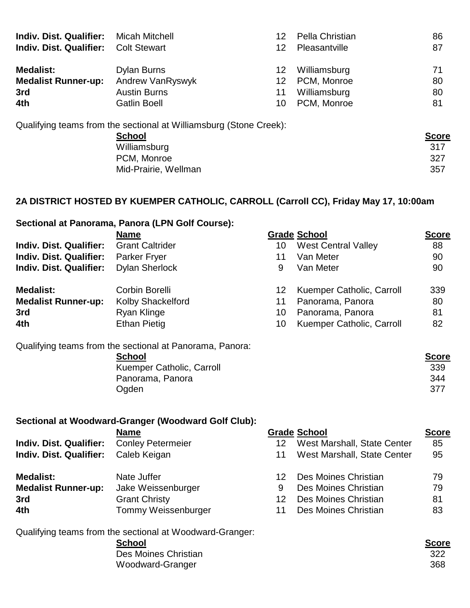| <b>Indiv. Dist. Qualifier:</b> | <b>Micah Mitchell</b>                                              | 12 | Pella Christian | 86           |
|--------------------------------|--------------------------------------------------------------------|----|-----------------|--------------|
| <b>Indiv. Dist. Qualifier:</b> | <b>Colt Stewart</b>                                                | 12 | Pleasantville   | 87           |
| <b>Medalist:</b>               | Dylan Burns                                                        | 12 | Williamsburg    | 71           |
| <b>Medalist Runner-up:</b>     | Andrew VanRyswyk                                                   | 12 | PCM, Monroe     | 80           |
| 3rd                            | <b>Austin Burns</b>                                                | 11 | Williamsburg    | 80           |
| 4th                            | <b>Gatlin Boell</b>                                                | 10 | PCM, Monroe     | 81           |
|                                | Qualifying teams from the sectional at Williamsburg (Stone Creek): |    |                 |              |
|                                | <b>School</b>                                                      |    |                 | <b>Score</b> |
|                                | Williamsburg                                                       |    |                 | 317          |
|                                | PCM, Monroe                                                        |    |                 | 327          |

## **2A DISTRICT HOSTED BY KUEMPER CATHOLIC, CARROLL (Carroll CC), Friday May 17, 10:00am**

# **Sectional at Panorama, Panora (LPN Golf Course):**

| 88                               |
|----------------------------------|
|                                  |
| 90                               |
| 90                               |
| Kuemper Catholic, Carroll<br>339 |
| 80                               |
| 81                               |
| Kuemper Catholic, Carroll<br>82  |
|                                  |

Qualifying teams from the sectional at Panorama, Panora:

| School                    | <b>Score</b> |
|---------------------------|--------------|
| Kuemper Catholic, Carroll | 339          |
| Panorama, Panora          | 344          |
| Ogden                     | 377          |

Mid-Prairie, Wellman 357

### **Sectional at Woodward-Granger (Woodward Golf Club):**

|                                | <b>Name</b>              |    | <b>Grade School</b>         | <b>Score</b> |
|--------------------------------|--------------------------|----|-----------------------------|--------------|
| <b>Indiv. Dist. Qualifier:</b> | <b>Conley Petermeier</b> | 12 | West Marshall, State Center | 85           |
| <b>Indiv. Dist. Qualifier:</b> | Caleb Keigan             | 11 | West Marshall, State Center | 95           |
| Medalist:                      | Nate Juffer              |    | Des Moines Christian        | 79           |
| <b>Medalist Runner-up:</b>     | Jake Weissenburger       | 9  | Des Moines Christian        | 79           |
| 3rd                            | <b>Grant Christy</b>     | 12 | Des Moines Christian        | 81           |
| 4th                            | Tommy Weissenburger      |    | Des Moines Christian        | 83           |

Qualifying teams from the sectional at Woodward-Granger:

| <b>School</b>        | <b>Score</b> |
|----------------------|--------------|
| Des Moines Christian | -322         |
| Woodward-Granger     | 368          |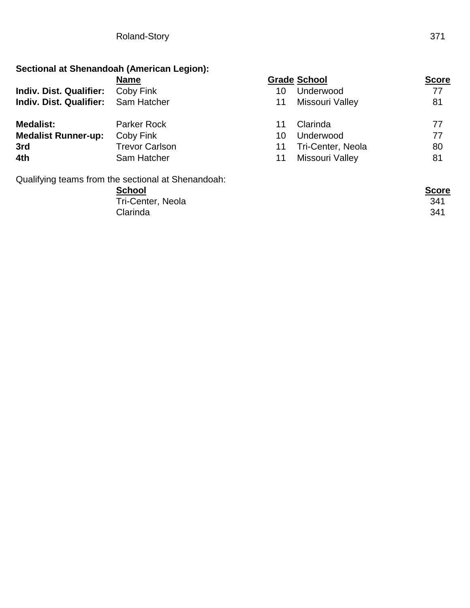## **Sectional at Shenandoah (American Legion):**

|                                | <b>Name</b>                                        |    | <b>Grade School</b>      | <b>Score</b> |
|--------------------------------|----------------------------------------------------|----|--------------------------|--------------|
| <b>Indiv. Dist. Qualifier:</b> | Coby Fink                                          | 10 | Underwood                | 77           |
| <b>Indiv. Dist. Qualifier:</b> | Sam Hatcher                                        | 11 | Missouri Valley          | 81           |
| <b>Medalist:</b>               | <b>Parker Rock</b>                                 | 11 | Clarinda                 | 77           |
| <b>Medalist Runner-up:</b>     | Coby Fink                                          | 10 | Underwood                | 77           |
| 3rd                            | <b>Trevor Carlson</b>                              | 11 | <b>Tri-Center, Neola</b> | 80           |
| 4th                            | Sam Hatcher                                        | 11 | Missouri Valley          | 81           |
|                                | Qualifying teams from the sectional at Shenandoah: |    |                          |              |

**School Score** Tri-Center, Neola 341 Clarinda 341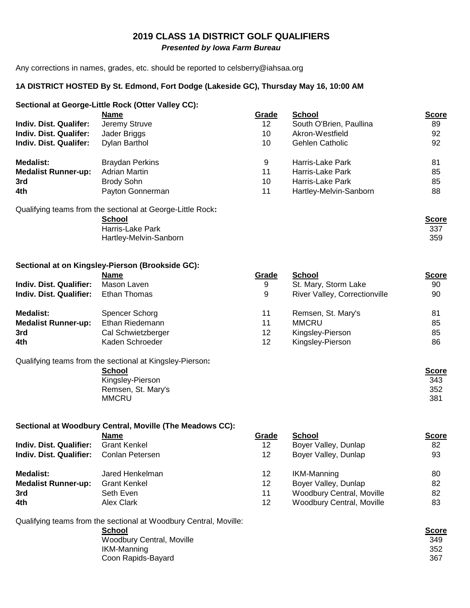# **2019 CLASS 1A DISTRICT GOLF QUALIFIERS**

 *Presented by Iowa Farm Bureau*

Any corrections in names, grades, etc. should be reported to celsberry@iahsaa.org

#### **1A DISTRICT HOSTED By St. Edmond, Fort Dodge (Lakeside GC), Thursday May 16, 10:00 AM**

#### **Sectional at George-Little Rock (Otter Valley CC):**

| <b>Name</b>                                                | Grade | <b>School</b>           | <u>Score</u> |
|------------------------------------------------------------|-------|-------------------------|--------------|
| Jeremy Struve                                              | 12    | South O'Brien, Paullina | 89           |
| Jader Briggs                                               | 10    | Akron-Westfield         | 92           |
| Dylan Barthol                                              | 10    | <b>Gehlen Catholic</b>  | 92           |
| <b>Braydan Perkins</b>                                     | 9     | Harris-Lake Park        | 81           |
| <b>Adrian Martin</b>                                       | 11    | Harris-Lake Park        | 85           |
| <b>Brody Sohn</b>                                          | 10    | Harris-Lake Park        | 85           |
| Payton Gonnerman                                           | 11    | Hartley-Melvin-Sanborn  | 88           |
| Qualifying teams from the sectional at George-Little Rock: |       |                         |              |
| <b>School</b>                                              |       |                         | <b>Score</b> |
| Harris-Lake Park                                           |       |                         | 337          |
| Hartley-Melvin-Sanborn                                     |       |                         | 359          |
|                                                            |       |                         |              |

#### **Sectional at on Kingsley-Pierson (Brookside GC):**

|                            | <b>Name</b>        | Grade | School                        | <b>Score</b> |
|----------------------------|--------------------|-------|-------------------------------|--------------|
| Indiv. Dist. Qualifier:    | Mason Laven        | 9     | St. Mary, Storm Lake          | 90           |
| Indiv. Dist. Qualifier:    | Ethan Thomas       | 9     | River Valley, Correctionville | 90           |
| <b>Medalist:</b>           | Spencer Schorg     | 11    | Remsen, St. Mary's            | 81           |
| <b>Medalist Runner-up:</b> | Ethan Riedemann    | 11    | <b>MMCRU</b>                  | 85           |
| 3rd                        | Cal Schwietzberger | 12    | Kingsley-Pierson              | 85           |
| 4th                        | Kaden Schroeder    | 12    | Kingsley-Pierson              | 86           |
|                            |                    |       |                               |              |

Qualifying teams from the sectional at Kingsley-Pierson**:** 

Kingsley-Pierson Remsen, St. Mary's<br>MMCRU MMCRU 381

#### **Sectional at Woodbury Central, Moville (The Meadows CC):**

|                                | Name                | Grade           | <b>School</b>             | <b>Score</b> |
|--------------------------------|---------------------|-----------------|---------------------------|--------------|
| <b>Indiv. Dist. Qualifier:</b> | <b>Grant Kenkel</b> | 12 <sup>°</sup> | Boyer Valley, Dunlap      | 82           |
| Indiv. Dist. Qualifier:        | Conlan Petersen     | 12              | Boyer Valley, Dunlap      | 93           |
| Medalist:                      | Jared Henkelman     | 12              | IKM-Manning               | 80           |
| <b>Medalist Runner-up:</b>     | <b>Grant Kenkel</b> | 12              | Boyer Valley, Dunlap      | 82           |
| 3rd                            | Seth Even           | 11              | Woodbury Central, Moville | 82           |
| 4th                            | Alex Clark          | 12              | Woodbury Central, Moville | 83           |

Qualifying teams from the sectional at Woodbury Central, Moville:

**School Score** Woodbury Central, Moville **IKM-Manning** Coon Rapids-Bayard

| uuvi 1 |
|--------|
| 349    |
| 352    |
| 367    |
|        |

| 9  | St. Mary, Storm Lake          | 90 |
|----|-------------------------------|----|
| 9  | River Valley, Correctionville | 90 |
| 11 | Remsen, St. Mary's            | 81 |
| 11 | <b>MMCRU</b>                  | 85 |
| 12 | Kingsley-Pierson              | 85 |
| 12 | Kingsley-Pierson              | 86 |
|    |                               |    |

| e sectional at Kingsley-Pierson: |              |
|----------------------------------|--------------|
| <b>School</b>                    | <b>Score</b> |
| Kingsley-Pierson                 | 343          |
| Remsen, St. Mary's               | 352          |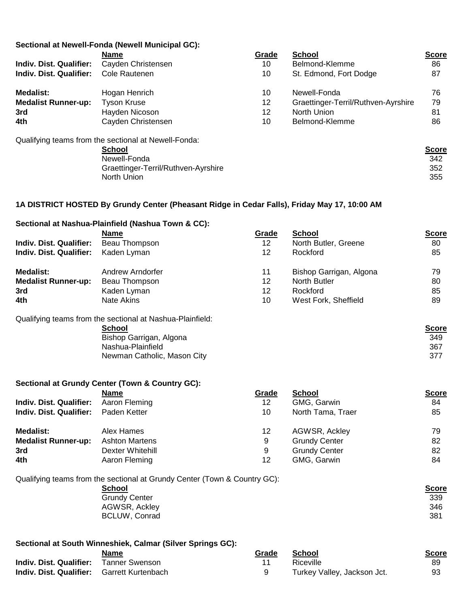#### **Sectional at Newell-Fonda (Newell Municipal GC):**

|                                | <b>Name</b>                                          | Grade | <b>School</b>                       | <b>Score</b> |
|--------------------------------|------------------------------------------------------|-------|-------------------------------------|--------------|
| <b>Indiv. Dist. Qualifier:</b> | Cayden Christensen                                   | 10    | Belmond-Klemme                      | 86           |
| <b>Indiv. Dist. Qualifier:</b> | Cole Rautenen                                        | 10    | St. Edmond, Fort Dodge              | 87           |
| <b>Medalist:</b>               | Hogan Henrich                                        | 10    | Newell-Fonda                        | 76           |
| <b>Medalist Runner-up:</b>     | <b>Tyson Kruse</b>                                   | 12    | Graettinger-Terril/Ruthven-Ayrshire | 79           |
| 3rd                            | Hayden Nicoson                                       | 12    | North Union                         | 81           |
| 4th                            | Cayden Christensen                                   | 10    | Belmond-Klemme                      | 86           |
|                                | Qualifying teams from the sectional at Newell-Fonda: |       |                                     |              |

| <u>Score</u> |
|--------------|
| 342          |
| 352          |
| 355          |
|              |

#### **1A DISTRICT HOSTED By Grundy Center (Pheasant Ridge in Cedar Falls), Friday May 17, 10:00 AM**

|                                | Sectional at Nashua-Plainfield (Nashua Town & CC):        |                 |                         |              |
|--------------------------------|-----------------------------------------------------------|-----------------|-------------------------|--------------|
|                                | <b>Name</b>                                               | <b>Grade</b>    | <b>School</b>           | <b>Score</b> |
| <b>Indiv. Dist. Qualifier:</b> | Beau Thompson                                             | 12 <sup>°</sup> | North Butler, Greene    | 80           |
| <b>Indiv. Dist. Qualifier:</b> | Kaden Lyman                                               | 12              | Rockford                | 85           |
| <b>Medalist:</b>               | Andrew Arndorfer                                          | 11              | Bishop Garrigan, Algona | 79           |
| <b>Medalist Runner-up:</b>     | Beau Thompson                                             | 12              | North Butler            | 80           |
| 3rd                            | Kaden Lyman                                               | 12              | Rockford                | 85           |
| 4th                            | Nate Akins                                                | 10              | West Fork, Sheffield    | 89           |
|                                | Qualifying teams from the sectional at Nashua-Plainfield: |                 |                         |              |
|                                | School                                                    |                 |                         | <b>Score</b> |
|                                | Bishop Garrigan, Algona                                   |                 |                         | 349          |
|                                | Nashua-Plainfield                                         |                 |                         | 367          |
|                                | Newman Catholic, Mason City                               |                 |                         | 377          |
|                                | Sectional at Grundy Center (Town & Country GC):           |                 |                         |              |
|                                | <b>Name</b>                                               | <u>Grade</u>    | <b>School</b>           | <u>Score</u> |
| <b>Indiv. Dist. Qualifier:</b> | Aaron Fleming                                             | 12 <sup>°</sup> | GMG, Garwin             | 84           |
| <b>Indiv. Dist. Qualifier:</b> | Paden Ketter                                              | 10              | North Tama, Traer       | 85           |

| <b>Medalist:</b>           | Alex Hames            |    | AGWSR, Ackley        | 79 |
|----------------------------|-----------------------|----|----------------------|----|
| <b>Medalist Runner-up:</b> | <b>Ashton Martens</b> | 9  | <b>Grundy Center</b> | 82 |
| 3rd                        | Dexter Whitehill      | Q  | <b>Grundy Center</b> | 82 |
| 4th                        | Aaron Fleming         | 12 | GMG, Garwin          | 84 |

Qualifying teams from the sectional at Grundy Center (Town & Country GC):

| . . | <b>School</b>        | <u>Score</u> |
|-----|----------------------|--------------|
|     | <b>Grundy Center</b> | 339          |
|     | AGWSR, Ackley        | 346          |
|     | BCLUW, Conrad        | 381          |
|     |                      |              |

#### **Sectional at South Winneshiek, Calmar (Silver Springs GC):**

|                                                   | Name | Grade | School                      | Score |
|---------------------------------------------------|------|-------|-----------------------------|-------|
| <b>Indiv. Dist. Qualifier:</b> Tanner Swenson     |      |       | Riceville                   | 89    |
| <b>Indiv. Dist. Qualifier:</b> Garrett Kurtenbach |      |       | Turkey Valley, Jackson Jct. | 93    |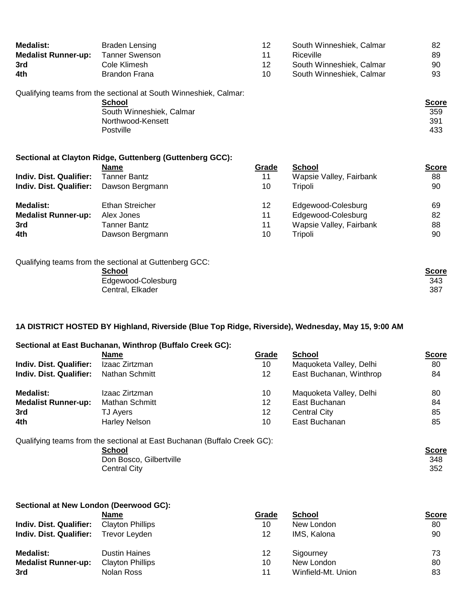| <b>Medalist:</b>               | Braden Lensing                                                   | 12    | South Winneshiek, Calmar | 82           |
|--------------------------------|------------------------------------------------------------------|-------|--------------------------|--------------|
| <b>Medalist Runner-up:</b>     | <b>Tanner Swenson</b>                                            | 11    | Riceville                | 89           |
| 3rd                            | Cole Klimesh                                                     | 12    | South Winneshiek, Calmar | 90           |
| 4th                            | <b>Brandon Frana</b>                                             | 10    | South Winneshiek, Calmar | 93           |
|                                | Qualifying teams from the sectional at South Winneshiek, Calmar: |       |                          |              |
|                                | School                                                           |       |                          | <b>Score</b> |
|                                | South Winneshiek, Calmar                                         |       |                          | 359          |
|                                | Northwood-Kensett                                                |       |                          | 391          |
|                                | Postville                                                        |       |                          | 433          |
|                                | Sectional at Clayton Ridge, Guttenberg (Guttenberg GCC):         |       |                          |              |
|                                | <b>Name</b>                                                      | Grade | <b>School</b>            | <b>Score</b> |
| <b>Indiv. Dist. Qualifier:</b> | Tanner Bantz                                                     | 11    | Wapsie Valley, Fairbank  | 88           |
| <b>Indiv. Dist. Qualifier:</b> | Dawson Bergmann                                                  | 10    | Tripoli                  | 90           |
| <b>Medalist:</b>               | <b>Ethan Streicher</b>                                           | 12    | Edgewood-Colesburg       | 69           |
| <b>Medalist Runner-up:</b>     | Alex Jones                                                       | 11    | Edgewood-Colesburg       | 82           |
| 3rd                            | Tanner Bantz                                                     | 11    | Wapsie Valley, Fairbank  | 88           |
| 4th                            | Dawson Bergmann                                                  | 10    | Tripoli                  | 90           |
|                                |                                                                  |       |                          |              |

| Qualifying teams from the sectional at Guttenberg GCC: |              |
|--------------------------------------------------------|--------------|
| School                                                 | <u>Score</u> |
| Edgewood-Colesburg                                     | 343          |
| Central, Elkader                                       | 387          |
|                                                        |              |

## **1A DISTRICT HOSTED BY Highland, Riverside (Blue Top Ridge, Riverside), Wednesday, May 15, 9:00 AM**

|                                | Sectional at East Buchanan, Winthrop (Buffalo Creek GC):                 |                 |                         |              |
|--------------------------------|--------------------------------------------------------------------------|-----------------|-------------------------|--------------|
|                                | <b>Name</b>                                                              | Grade           | <b>School</b>           | <b>Score</b> |
| <b>Indiv. Dist. Qualifier:</b> | Izaac Zirtzman                                                           | 10              | Maquoketa Valley, Delhi | 80           |
| <b>Indiv. Dist. Qualifier:</b> | Nathan Schmitt                                                           | 12 <sup>°</sup> | East Buchanan, Winthrop | 84           |
| <b>Medalist:</b>               | Izaac Zirtzman                                                           | 10              | Maquoketa Valley, Delhi | 80           |
| <b>Medalist Runner-up:</b>     | <b>Mathan Schmitt</b>                                                    | 12              | East Buchanan           | 84           |
| 3rd                            | <b>TJ Ayers</b>                                                          | 12              | <b>Central City</b>     | 85           |
| 4th                            | <b>Harley Nelson</b>                                                     | 10              | East Buchanan           | 85           |
|                                | Qualifying teams from the sectional at East Buchanan (Buffalo Creek GC): |                 |                         |              |
|                                | <b>School</b>                                                            |                 |                         | <b>Score</b> |
|                                | Don Bosco, Gilbertville                                                  |                 |                         | 348          |
|                                | <b>Central City</b>                                                      |                 |                         | 352          |
|                                |                                                                          |                 |                         |              |

| Sectional at New London (Deerwood GC): |                         |       |                    |              |  |
|----------------------------------------|-------------------------|-------|--------------------|--------------|--|
|                                        | <b>Name</b>             | Grade | School             | <b>Score</b> |  |
| Indiv. Dist. Qualifier:                | <b>Clayton Phillips</b> | 10    | New London         | 80           |  |
| <b>Indiv. Dist. Qualifier:</b>         | <b>Trevor Leyden</b>    | 12    | IMS, Kalona        | 90           |  |
| <b>Medalist:</b>                       | <b>Dustin Haines</b>    | 12    | Sigourney          | 73           |  |
| <b>Medalist Runner-up:</b>             | <b>Clayton Phillips</b> | 10    | New London         | 80           |  |
| 3rd                                    | Nolan Ross              | 11    | Winfield-Mt. Union | 83           |  |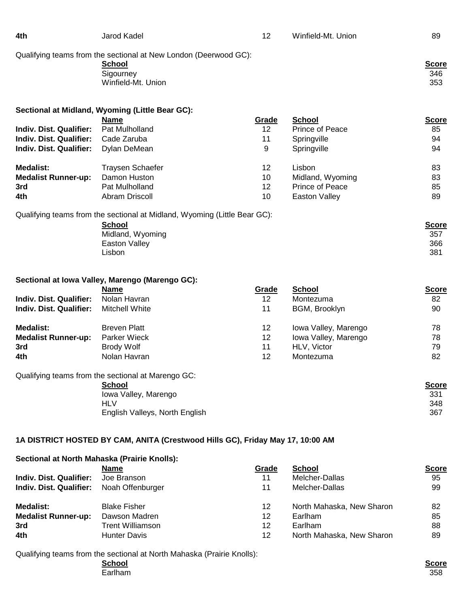| 4th                            | Jarod Kadel                                                                    | 12              | Winfield-Mt. Union   | 89                                |
|--------------------------------|--------------------------------------------------------------------------------|-----------------|----------------------|-----------------------------------|
|                                | Qualifying teams from the sectional at New London (Deerwood GC):<br>School     |                 |                      | <b>Score</b>                      |
|                                | Sigourney                                                                      |                 |                      | 346                               |
|                                | Winfield-Mt. Union                                                             |                 |                      | 353                               |
|                                | Sectional at Midland, Wyoming (Little Bear GC):                                |                 |                      |                                   |
|                                | <b>Name</b>                                                                    | Grade           | <b>School</b>        | <b>Score</b>                      |
| Indiv. Dist. Qualifier:        | Pat Mulholland                                                                 | 12 <sup>2</sup> | Prince of Peace      | 85                                |
| Indiv. Dist. Qualifier:        | Cade Zaruba                                                                    | 11              | Springville          | 94                                |
| Indiv. Dist. Qualifier:        | Dylan DeMean                                                                   | 9               | Springville          | 94                                |
|                                |                                                                                |                 |                      |                                   |
| <b>Medalist:</b>               | Traysen Schaefer                                                               | 12              | Lisbon               | 83                                |
| <b>Medalist Runner-up:</b>     | Damon Huston                                                                   | 10              | Midland, Wyoming     | 83                                |
| 3rd                            | Pat Mulholland                                                                 | 12              | Prince of Peace      | 85                                |
| 4th                            | Abram Driscoll                                                                 | 10              | <b>Easton Valley</b> | 89                                |
|                                | <b>School</b><br>Midland, Wyoming<br><b>Easton Valley</b><br>Lisbon            |                 |                      | <b>Score</b><br>357<br>366<br>381 |
|                                | Sectional at Iowa Valley, Marengo (Marengo GC):                                |                 |                      |                                   |
|                                | <b>Name</b>                                                                    | Grade           | <b>School</b>        | <b>Score</b>                      |
| <b>Indiv. Dist. Qualifier:</b> | Nolan Havran                                                                   | 12              | Montezuma            | 82                                |
| Indiv. Dist. Qualifier:        | <b>Mitchell White</b>                                                          | 11              | BGM, Brooklyn        | 90                                |
| <b>Medalist:</b>               | <b>Breven Platt</b>                                                            | 12              | Iowa Valley, Marengo | 78                                |
| <b>Medalist Runner-up:</b>     | <b>Parker Wieck</b>                                                            | 12              | Iowa Valley, Marengo | 78                                |
| 3rd                            | <b>Brody Wolf</b>                                                              | 11              | HLV, Victor          | 79                                |
| 4th                            | Nolan Havran                                                                   | 12              | Montezuma            | 82                                |
|                                | Qualifying teams from the sectional at Marengo GC:                             |                 |                      |                                   |
|                                | <b>School</b>                                                                  |                 |                      | <b>Score</b>                      |
|                                | Iowa Valley, Marengo                                                           |                 |                      | 331                               |
|                                | <b>HLV</b>                                                                     |                 |                      | 348                               |
|                                | English Valleys, North English                                                 |                 |                      | 367                               |
|                                |                                                                                |                 |                      |                                   |
|                                | 1A DISTRICT HOSTED BY CAM, ANITA (Crestwood Hills GC), Friday May 17, 10:00 AM |                 |                      |                                   |

### **Sectional at North Mahaska (Prairie Knolls):**

|                                          | <b>Name</b>         | Grade | School                    | <u>Score</u> |
|------------------------------------------|---------------------|-------|---------------------------|--------------|
| Indiv. Dist. Qualifier:                  | Joe Branson         | 11    | Melcher-Dallas            | 95           |
| Indiv. Dist. Qualifier: Noah Offenburger |                     | 11    | Melcher-Dallas            | 99           |
| Medalist:                                | <b>Blake Fisher</b> | 12    | North Mahaska, New Sharon | 82           |
| <b>Medalist Runner-up:</b>               | Dawson Madren       | 12    | Earlham                   | 85           |
| 3rd                                      | Trent Williamson    | 12    | Earlham                   | 88           |
| 4th                                      | Hunter Davis        | 12    | North Mahaska, New Sharon | 89           |

Qualifying teams from the sectional at North Mahaska (Prairie Knolls):

**School Score** Earlham 358